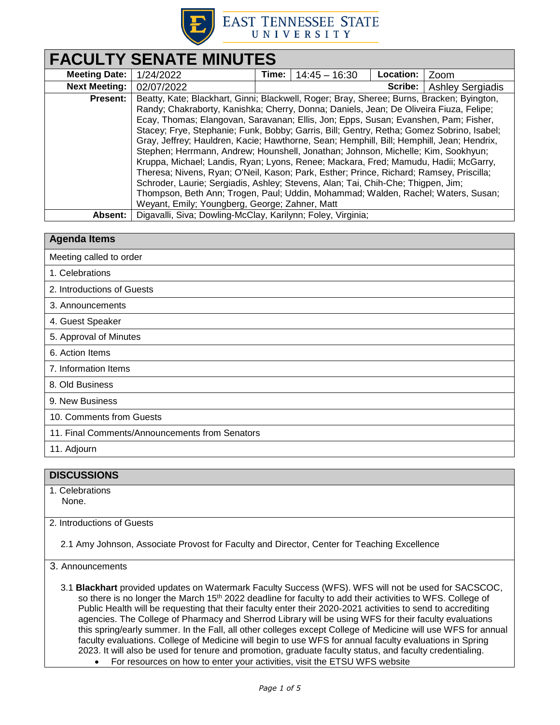

# **EAST TENNESSEE STATE** UNIVERSITY

| <b>FACULTY SENATE MINUTES</b> |                                                                                           |       |                 |                  |                         |
|-------------------------------|-------------------------------------------------------------------------------------------|-------|-----------------|------------------|-------------------------|
| <b>Meeting Date:</b>          | 1/24/2022                                                                                 | Time: | $14:45 - 16:30$ | <b>Location:</b> | Zoom                    |
| <b>Next Meeting:</b>          | 02/07/2022                                                                                |       |                 | Scribe:          | <b>Ashley Sergiadis</b> |
| <b>Present:</b>               | Beatty, Kate; Blackhart, Ginni; Blackwell, Roger; Bray, Sheree; Burns, Bracken; Byington, |       |                 |                  |                         |
|                               | Randy; Chakraborty, Kanishka; Cherry, Donna; Daniels, Jean; De Oliveira Fiuza, Felipe;    |       |                 |                  |                         |
|                               | Ecay, Thomas; Elangovan, Saravanan; Ellis, Jon; Epps, Susan; Evanshen, Pam; Fisher,       |       |                 |                  |                         |
|                               | Stacey; Frye, Stephanie; Funk, Bobby; Garris, Bill; Gentry, Retha; Gomez Sobrino, Isabel; |       |                 |                  |                         |
|                               | Gray, Jeffrey; Hauldren, Kacie; Hawthorne, Sean; Hemphill, Bill; Hemphill, Jean; Hendrix, |       |                 |                  |                         |
|                               | Stephen; Herrmann, Andrew; Hounshell, Jonathan; Johnson, Michelle; Kim, Sookhyun;         |       |                 |                  |                         |
|                               | Kruppa, Michael; Landis, Ryan; Lyons, Renee; Mackara, Fred; Mamudu, Hadii; McGarry,       |       |                 |                  |                         |
|                               | Theresa; Nivens, Ryan; O'Neil, Kason; Park, Esther; Prince, Richard; Ramsey, Priscilla;   |       |                 |                  |                         |
|                               | Schroder, Laurie; Sergiadis, Ashley; Stevens, Alan; Tai, Chih-Che; Thigpen, Jim;          |       |                 |                  |                         |
|                               | Thompson, Beth Ann; Trogen, Paul; Uddin, Mohammad; Walden, Rachel; Waters, Susan;         |       |                 |                  |                         |
|                               | Weyant, Emily; Youngberg, George; Zahner, Matt                                            |       |                 |                  |                         |
| Absent:                       | Digavalli, Siva; Dowling-McClay, Karilynn; Foley, Virginia;                               |       |                 |                  |                         |

| <b>Agenda Items</b>                            |  |
|------------------------------------------------|--|
| Meeting called to order                        |  |
| 1. Celebrations                                |  |
| 2. Introductions of Guests                     |  |
| 3. Announcements                               |  |
| 4. Guest Speaker                               |  |
| 5. Approval of Minutes                         |  |
| 6. Action Items                                |  |
| 7. Information Items                           |  |
| 8. Old Business                                |  |
| 9. New Business                                |  |
| 10. Comments from Guests                       |  |
| 11. Final Comments/Announcements from Senators |  |
| 11. Adjourn                                    |  |

# **DISCUSSIONS**

1. Celebrations None.

2. Introductions of Guests

2.1 Amy Johnson, Associate Provost for Faculty and Director, Center for Teaching Excellence

3. Announcements

3.1 **Blackhart** provided updates on Watermark Faculty Success (WFS). WFS will not be used for SACSCOC, so there is no longer the March 15<sup>th</sup> 2022 deadline for faculty to add their activities to WFS. College of Public Health will be requesting that their faculty enter their 2020-2021 activities to send to accrediting agencies. The College of Pharmacy and Sherrod Library will be using WFS for their faculty evaluations this spring/early summer. In the Fall, all other colleges except College of Medicine will use WFS for annual faculty evaluations. College of Medicine will begin to use WFS for annual faculty evaluations in Spring 2023. It will also be used for tenure and promotion, graduate faculty status, and faculty credentialing. For resources on how to enter your activities, visit the ETSU WFS website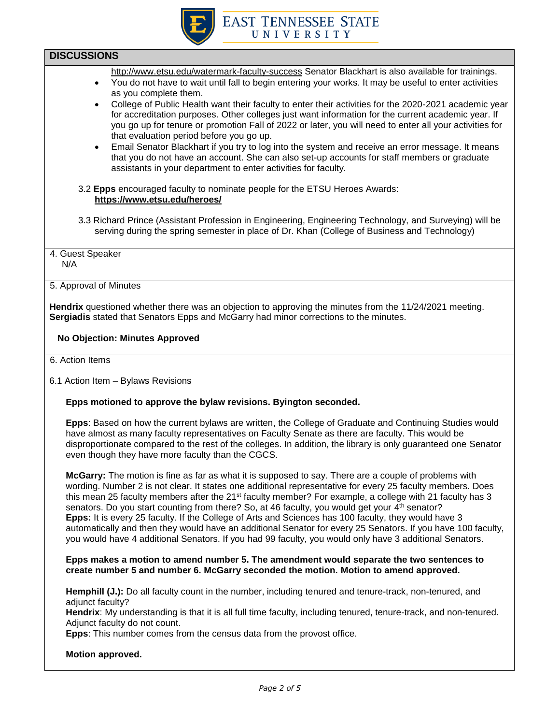

## **DISCUSSIONS**

- <http://www.etsu.edu/watermark-faculty-success> Senator Blackhart is also available for trainings.
- You do not have to wait until fall to begin entering your works. It may be useful to enter activities as you complete them.
- College of Public Health want their faculty to enter their activities for the 2020-2021 academic year for accreditation purposes. Other colleges just want information for the current academic year. If you go up for tenure or promotion Fall of 2022 or later, you will need to enter all your activities for that evaluation period before you go up.
- Email Senator Blackhart if you try to log into the system and receive an error message. It means that you do not have an account. She can also set-up accounts for staff members or graduate assistants in your department to enter activities for faculty.
- 3.2 **Epps** encouraged faculty to nominate people for the ETSU Heroes Awards: **<https://www.etsu.edu/heroes/>**
- 3.3 Richard Prince (Assistant Profession in Engineering, Engineering Technology, and Surveying) will be serving during the spring semester in place of Dr. Khan (College of Business and Technology)
- 4. Guest Speaker N/A

#### 5. Approval of Minutes

**Hendrix** questioned whether there was an objection to approving the minutes from the 11/24/2021 meeting. **Sergiadis** stated that Senators Epps and McGarry had minor corrections to the minutes.

### **No Objection: Minutes Approved**

- 6. Action Items
- 6.1 Action Item Bylaws Revisions

#### **Epps motioned to approve the bylaw revisions. Byington seconded.**

**Epps**: Based on how the current bylaws are written, the College of Graduate and Continuing Studies would have almost as many faculty representatives on Faculty Senate as there are faculty. This would be disproportionate compared to the rest of the colleges. In addition, the library is only guaranteed one Senator even though they have more faculty than the CGCS.

**McGarry:** The motion is fine as far as what it is supposed to say. There are a couple of problems with wording. Number 2 is not clear. It states one additional representative for every 25 faculty members. Does this mean 25 faculty members after the 21<sup>st</sup> faculty member? For example, a college with 21 faculty has 3 senators. Do you start counting from there? So, at 46 faculty, you would get your 4<sup>th</sup> senator? **Epps:** It is every 25 faculty. If the College of Arts and Sciences has 100 faculty, they would have 3 automatically and then they would have an additional Senator for every 25 Senators. If you have 100 faculty, you would have 4 additional Senators. If you had 99 faculty, you would only have 3 additional Senators.

#### **Epps makes a motion to amend number 5. The amendment would separate the two sentences to create number 5 and number 6. McGarry seconded the motion. Motion to amend approved.**

**Hemphill (J.):** Do all faculty count in the number, including tenured and tenure-track, non-tenured, and adiunct faculty?

**Hendrix**: My understanding is that it is all full time faculty, including tenured, tenure-track, and non-tenured. Adjunct faculty do not count.

**Epps**: This number comes from the census data from the provost office.

#### **Motion approved.**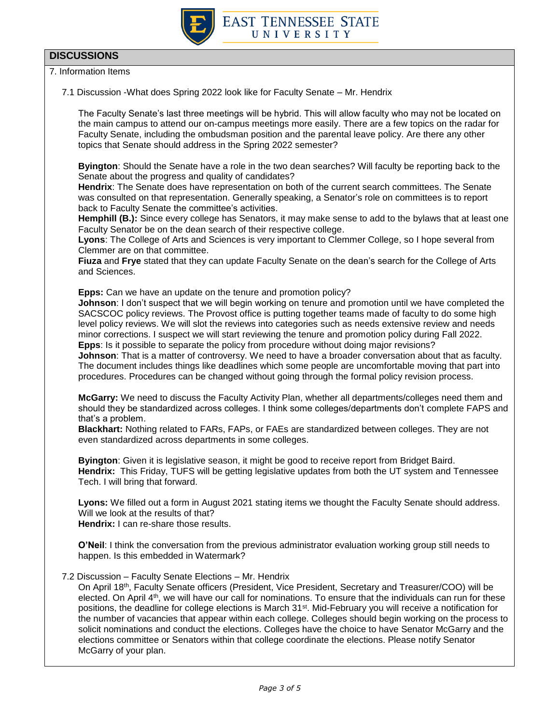

# **DISCUSSIONS**

7. Information Items

7.1 Discussion -What does Spring 2022 look like for Faculty Senate – Mr. Hendrix

The Faculty Senate's last three meetings will be hybrid. This will allow faculty who may not be located on the main campus to attend our on-campus meetings more easily. There are a few topics on the radar for Faculty Senate, including the ombudsman position and the parental leave policy. Are there any other topics that Senate should address in the Spring 2022 semester?

**Byington**: Should the Senate have a role in the two dean searches? Will faculty be reporting back to the Senate about the progress and quality of candidates?

**Hendrix**: The Senate does have representation on both of the current search committees. The Senate was consulted on that representation. Generally speaking, a Senator's role on committees is to report back to Faculty Senate the committee's activities.

**Hemphill (B.):** Since every college has Senators, it may make sense to add to the bylaws that at least one Faculty Senator be on the dean search of their respective college.

**Lyons**: The College of Arts and Sciences is very important to Clemmer College, so I hope several from Clemmer are on that committee.

**Fiuza** and **Frye** stated that they can update Faculty Senate on the dean's search for the College of Arts and Sciences.

**Epps:** Can we have an update on the tenure and promotion policy?

**Johnson**: I don't suspect that we will begin working on tenure and promotion until we have completed the SACSCOC policy reviews. The Provost office is putting together teams made of faculty to do some high level policy reviews. We will slot the reviews into categories such as needs extensive review and needs minor corrections. I suspect we will start reviewing the tenure and promotion policy during Fall 2022. **Epps**: Is it possible to separate the policy from procedure without doing major revisions?

**Johnson**: That is a matter of controversy. We need to have a broader conversation about that as faculty. The document includes things like deadlines which some people are uncomfortable moving that part into procedures. Procedures can be changed without going through the formal policy revision process.

**McGarry:** We need to discuss the Faculty Activity Plan, whether all departments/colleges need them and should they be standardized across colleges. I think some colleges/departments don't complete FAPS and that's a problem.

**Blackhart:** Nothing related to FARs, FAPs, or FAEs are standardized between colleges. They are not even standardized across departments in some colleges.

**Byington**: Given it is legislative season, it might be good to receive report from Bridget Baird. **Hendrix:** This Friday, TUFS will be getting legislative updates from both the UT system and Tennessee Tech. I will bring that forward.

**Lyons:** We filled out a form in August 2021 stating items we thought the Faculty Senate should address. Will we look at the results of that?

**Hendrix:** I can re-share those results.

**O'Neil**: I think the conversation from the previous administrator evaluation working group still needs to happen. Is this embedded in Watermark?

7.2 Discussion – Faculty Senate Elections – Mr. Hendrix

On April 18th, Faculty Senate officers (President, Vice President, Secretary and Treasurer/COO) will be elected. On April 4<sup>th</sup>, we will have our call for nominations. To ensure that the individuals can run for these positions, the deadline for college elections is March 31st. Mid-February you will receive a notification for the number of vacancies that appear within each college. Colleges should begin working on the process to solicit nominations and conduct the elections. Colleges have the choice to have Senator McGarry and the elections committee or Senators within that college coordinate the elections. Please notify Senator McGarry of your plan.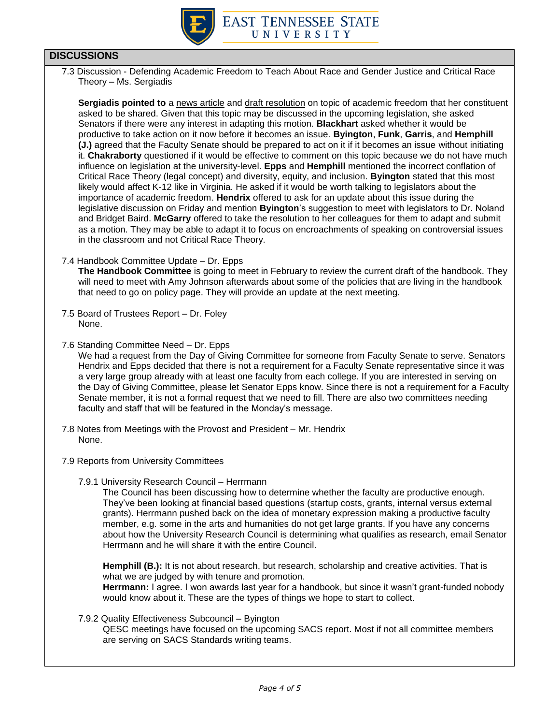

# **DISCUSSIONS**

7.3 Discussion - Defending Academic Freedom to Teach About Race and Gender Justice and Critical Race Theory – Ms. Sergiadis

**Sergiadis pointed to** [a news article](https://www.insidehighered.com/news/2021/12/15/professors-promote-resolution-academic-freedom) and [draft resolution](https://docs.google.com/document/d/1XbYF3KscDXmJyckjPc0CZIocJxk1hJd7/edit) on topic of academic freedom that her constituent asked to be shared. Given that this topic may be discussed in the upcoming legislation, she asked Senators if there were any interest in adapting this motion. **Blackhart** asked whether it would be productive to take action on it now before it becomes an issue. **Byington**, **Funk**, **Garris**, and **Hemphill (J.)** agreed that the Faculty Senate should be prepared to act on it if it becomes an issue without initiating it. **Chakraborty** questioned if it would be effective to comment on this topic because we do not have much influence on legislation at the university-level. **Epps** and **Hemphill** mentioned the incorrect conflation of Critical Race Theory (legal concept) and diversity, equity, and inclusion. **Byington** stated that this most likely would affect K-12 like in Virginia. He asked if it would be worth talking to legislators about the importance of academic freedom. **Hendrix** offered to ask for an update about this issue during the legislative discussion on Friday and mention **Byington**'s suggestion to meet with legislators to Dr. Noland and Bridget Baird. **McGarry** offered to take the resolution to her colleagues for them to adapt and submit as a motion. They may be able to adapt it to focus on encroachments of speaking on controversial issues in the classroom and not Critical Race Theory.

7.4 Handbook Committee Update – Dr. Epps

**The Handbook Committee** is going to meet in February to review the current draft of the handbook. They will need to meet with Amy Johnson afterwards about some of the policies that are living in the handbook that need to go on policy page. They will provide an update at the next meeting.

- 7.5 Board of Trustees Report Dr. Foley None.
- 7.6 Standing Committee Need Dr. Epps

We had a request from the Day of Giving Committee for someone from Faculty Senate to serve. Senators Hendrix and Epps decided that there is not a requirement for a Faculty Senate representative since it was a very large group already with at least one faculty from each college. If you are interested in serving on the Day of Giving Committee, please let Senator Epps know. Since there is not a requirement for a Faculty Senate member, it is not a formal request that we need to fill. There are also two committees needing faculty and staff that will be featured in the Monday's message.

- 7.8 Notes from Meetings with the Provost and President Mr. Hendrix None.
- 7.9 Reports from University Committees
	- 7.9.1 University Research Council Herrmann

The Council has been discussing how to determine whether the faculty are productive enough. They've been looking at financial based questions (startup costs, grants, internal versus external grants). Herrmann pushed back on the idea of monetary expression making a productive faculty member, e.g. some in the arts and humanities do not get large grants. If you have any concerns about how the University Research Council is determining what qualifies as research, email Senator Herrmann and he will share it with the entire Council.

**Hemphill (B.):** It is not about research, but research, scholarship and creative activities. That is what we are judged by with tenure and promotion.

**Herrmann:** I agree. I won awards last year for a handbook, but since it wasn't grant-funded nobody would know about it. These are the types of things we hope to start to collect.

#### 7.9.2 Quality Effectiveness Subcouncil – Byington

QESC meetings have focused on the upcoming SACS report. Most if not all committee members are serving on SACS Standards writing teams.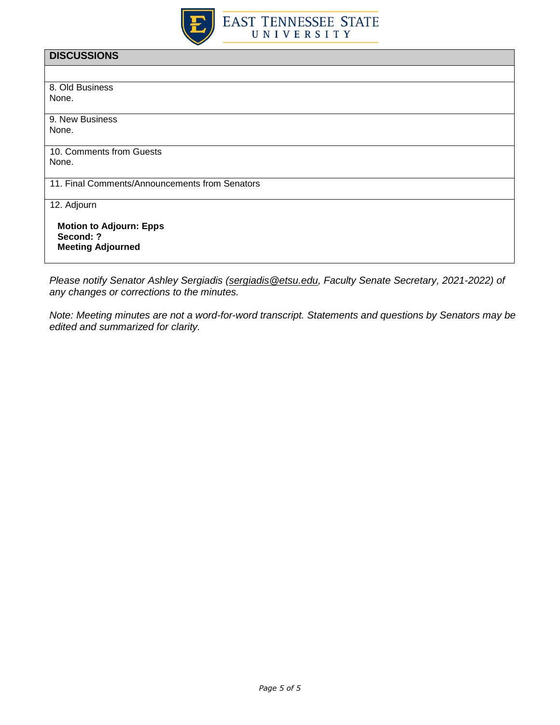

| <b>DISCUSSIONS</b>                             |
|------------------------------------------------|
|                                                |
| 8. Old Business                                |
| None.                                          |
| 9. New Business                                |
| None.                                          |
| 10. Comments from Guests                       |
| None.                                          |
| 11. Final Comments/Announcements from Senators |
| 12. Adjourn                                    |
| <b>Motion to Adjourn: Epps</b><br>Second: ?    |
| <b>Meeting Adjourned</b>                       |
|                                                |

*Please notify Senator Ashley Sergiadis [\(sergiadis@etsu.edu,](mailto:sergiadis@etsu.edu) Faculty Senate Secretary, 2021-2022) of any changes or corrections to the minutes.* 

*Note: Meeting minutes are not a word-for-word transcript. Statements and questions by Senators may be edited and summarized for clarity.*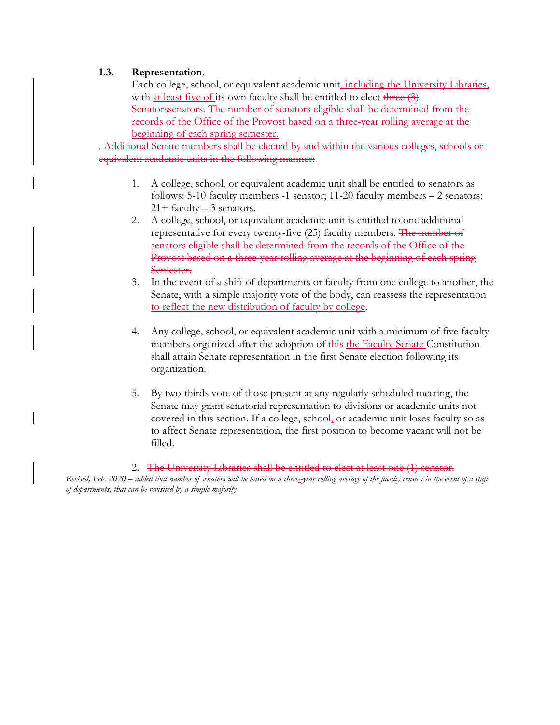## **1.3. Representation.**

Each college, school, or equivalent academic unit, including the University Libraries, with at least five of its own faculty shall be entitled to elect three (3) Senatorssenators. The number of senators eligible shall be determined from the records of the Office of the Provost based on a three-year rolling average at the beginning of each spring semester.

. Additional Senate members shall be elected by and within the various colleges, schools or equivalent academic units in the following manner:

- 1. A college, school, or equivalent academic unit shall be entitled to senators as follows: 5-10 faculty members -1 senator; 11-20 faculty members – 2 senators;  $21+$  faculty  $-3$  senators.
- 2. A college, school, or equivalent academic unit is entitled to one additional representative for every twenty-five (25) faculty members. The number of senators eligible shall be determined from the records of the Office of the Provost based on a three-year rolling average at the beginning of each spring Semester.
- 3. In the event of a shift of departments or faculty from one college to another, the Senate, with a simple majority vote of the body, can reassess the representation to reflect the new distribution of faculty by college.
- 4. Any college, school, or equivalent academic unit with a minimum of five faculty members organized after the adoption of this the Faculty Senate Constitution shall attain Senate representation in the first Senate election following its organization.
- 5. By two-thirds vote of those present at any regularly scheduled meeting, the Senate may grant senatorial representation to divisions or academic units not covered in this section. If a college, school, or academic unit loses faculty so as to affect Senate representation, the first position to become vacant will not be filled.

2. The University Libraries shall be entitled to elect at least one (1) senator. *Revised, Feb. 2020 – added that number of senators will be based on a three- year rolling average of the faculty census; in the event of a shift of departments, that can be revisited by a simple majority*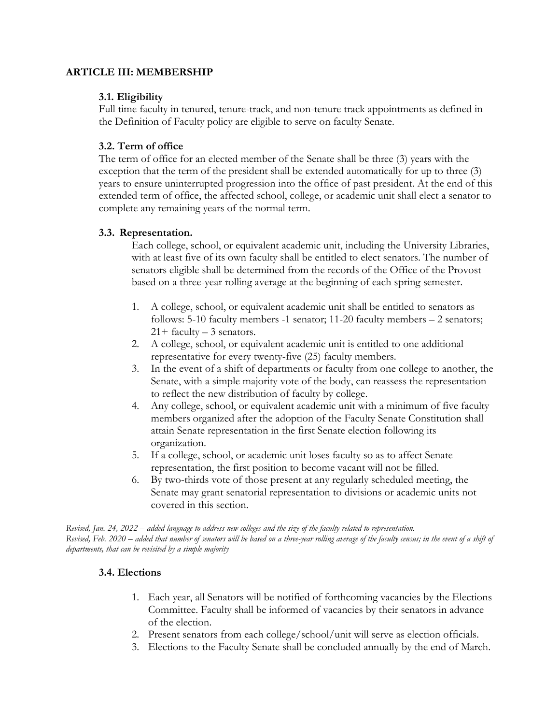## **ARTICLE III: MEMBERSHIP**

# **3.1. Eligibility**

Full time faculty in tenured, tenure-track, and non-tenure track appointments as defined in the Definition of Faculty policy are eligible to serve on faculty Senate.

# **3.2. Term of office**

The term of office for an elected member of the Senate shall be three (3) years with the exception that the term of the president shall be extended automatically for up to three (3) years to ensure uninterrupted progression into the office of past president. At the end of this extended term of office, the affected school, college, or academic unit shall elect a senator to complete any remaining years of the normal term.

# **3.3. Representation.**

Each college, school, or equivalent academic unit, including the University Libraries, with at least five of its own faculty shall be entitled to elect senators. The number of senators eligible shall be determined from the records of the Office of the Provost based on a three-year rolling average at the beginning of each spring semester.

- 1. A college, school, or equivalent academic unit shall be entitled to senators as follows: 5-10 faculty members -1 senator; 11-20 faculty members – 2 senators;  $21+$  faculty  $-3$  senators.
- 2. A college, school, or equivalent academic unit is entitled to one additional representative for every twenty-five (25) faculty members.
- 3. In the event of a shift of departments or faculty from one college to another, the Senate, with a simple majority vote of the body, can reassess the representation to reflect the new distribution of faculty by college.
- 4. Any college, school, or equivalent academic unit with a minimum of five faculty members organized after the adoption of the Faculty Senate Constitution shall attain Senate representation in the first Senate election following its organization.
- 5. If a college, school, or academic unit loses faculty so as to affect Senate representation, the first position to become vacant will not be filled.
- 6. By two-thirds vote of those present at any regularly scheduled meeting, the Senate may grant senatorial representation to divisions or academic units not covered in this section.

*Revised, Jan. 24, 2022 – added language to address new colleges and the size of the faculty related to representation. Revised, Feb. 2020 – added that number of senators will be based on a three-year rolling average of the faculty census; in the event of a shift of departments, that can be revisited by a simple majority*

# **3.4. Elections**

- 1. Each year, all Senators will be notified of forthcoming vacancies by the Elections Committee. Faculty shall be informed of vacancies by their senators in advance of the election.
- 2. Present senators from each college/school/unit will serve as election officials.
- 3. Elections to the Faculty Senate shall be concluded annually by the end of March.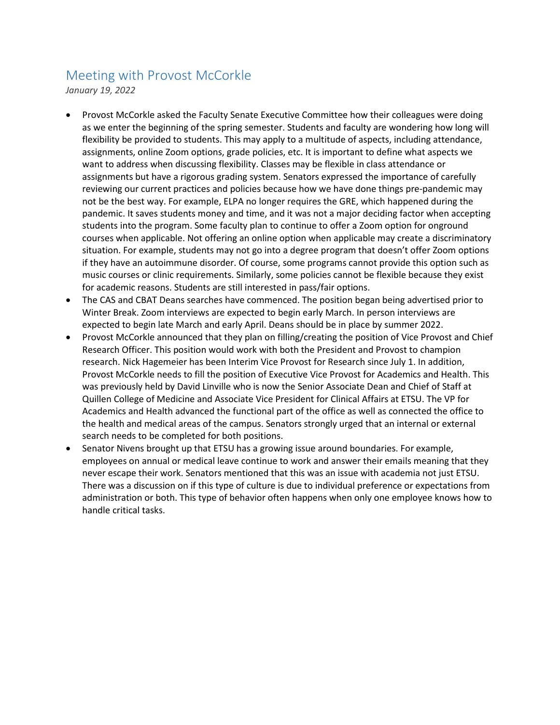# Meeting with Provost McCorkle

*January 19, 2022*

- Provost McCorkle asked the Faculty Senate Executive Committee how their colleagues were doing as we enter the beginning of the spring semester. Students and faculty are wondering how long will flexibility be provided to students. This may apply to a multitude of aspects, including attendance, assignments, online Zoom options, grade policies, etc. It is important to define what aspects we want to address when discussing flexibility. Classes may be flexible in class attendance or assignments but have a rigorous grading system. Senators expressed the importance of carefully reviewing our current practices and policies because how we have done things pre-pandemic may not be the best way. For example, ELPA no longer requires the GRE, which happened during the pandemic. It saves students money and time, and it was not a major deciding factor when accepting students into the program. Some faculty plan to continue to offer a Zoom option for onground courses when applicable. Not offering an online option when applicable may create a discriminatory situation. For example, students may not go into a degree program that doesn't offer Zoom options if they have an autoimmune disorder. Of course, some programs cannot provide this option such as music courses or clinic requirements. Similarly, some policies cannot be flexible because they exist for academic reasons. Students are still interested in pass/fair options.
- The CAS and CBAT Deans searches have commenced. The position began being advertised prior to Winter Break. Zoom interviews are expected to begin early March. In person interviews are expected to begin late March and early April. Deans should be in place by summer 2022.
- Provost McCorkle announced that they plan on filling/creating the position of Vice Provost and Chief Research Officer. This position would work with both the President and Provost to champion research. Nick Hagemeier has been Interim Vice Provost for Research since July 1. In addition, Provost McCorkle needs to fill the position of Executive Vice Provost for Academics and Health. This was previously held by David Linville who is now the Senior Associate Dean and Chief of Staff at Quillen College of Medicine and Associate Vice President for Clinical Affairs at ETSU. The VP for Academics and Health advanced the functional part of the office as well as connected the office to the health and medical areas of the campus. Senators strongly urged that an internal or external search needs to be completed for both positions.
- Senator Nivens brought up that ETSU has a growing issue around boundaries. For example, employees on annual or medical leave continue to work and answer their emails meaning that they never escape their work. Senators mentioned that this was an issue with academia not just ETSU. There was a discussion on if this type of culture is due to individual preference or expectations from administration or both. This type of behavior often happens when only one employee knows how to handle critical tasks.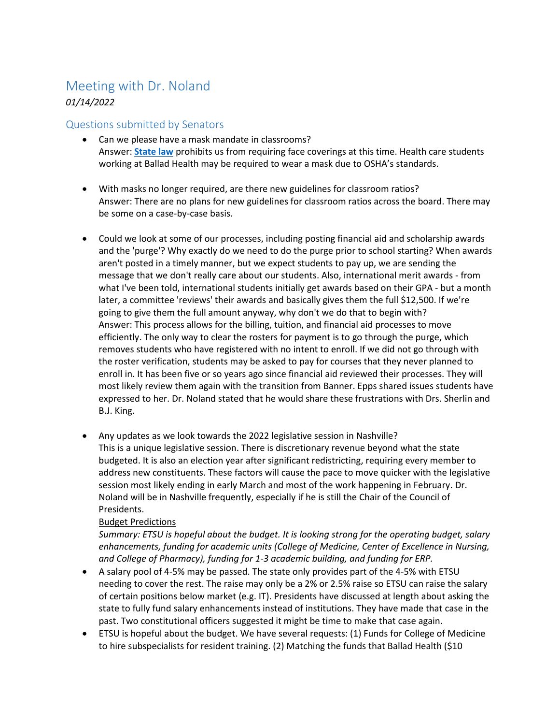# Meeting with Dr. Noland

# *01/14/2022*

# Questions submitted by Senators

- Can we please have a mask mandate in classrooms? Answer: **[State law](https://publications.tnsosfiles.com/acts/112/extra/pc9006.pdf?_kx=)** prohibits us from requiring face coverings at this time. Health care students working at Ballad Health may be required to wear a mask due to OSHA's standards.
- With masks no longer required, are there new guidelines for classroom ratios? Answer: There are no plans for new guidelines for classroom ratios across the board. There may be some on a case-by-case basis.
- Could we look at some of our processes, including posting financial aid and scholarship awards and the 'purge'? Why exactly do we need to do the purge prior to school starting? When awards aren't posted in a timely manner, but we expect students to pay up, we are sending the message that we don't really care about our students. Also, international merit awards - from what I've been told, international students initially get awards based on their GPA - but a month later, a committee 'reviews' their awards and basically gives them the full \$12,500. If we're going to give them the full amount anyway, why don't we do that to begin with? Answer: This process allows for the billing, tuition, and financial aid processes to move efficiently. The only way to clear the rosters for payment is to go through the purge, which removes students who have registered with no intent to enroll. If we did not go through with the roster verification, students may be asked to pay for courses that they never planned to enroll in. It has been five or so years ago since financial aid reviewed their processes. They will most likely review them again with the transition from Banner. Epps shared issues students have expressed to her. Dr. Noland stated that he would share these frustrations with Drs. Sherlin and B.J. King.
- Any updates as we look towards the 2022 legislative session in Nashville? This is a unique legislative session. There is discretionary revenue beyond what the state budgeted. It is also an election year after significant redistricting, requiring every member to address new constituents. These factors will cause the pace to move quicker with the legislative session most likely ending in early March and most of the work happening in February. Dr. Noland will be in Nashville frequently, especially if he is still the Chair of the Council of Presidents.

# Budget Predictions

*Summary: ETSU is hopeful about the budget. It is looking strong for the operating budget, salary enhancements, funding for academic units (College of Medicine, Center of Excellence in Nursing, and College of Pharmacy), funding for 1-3 academic building, and funding for ERP.*

- A salary pool of 4-5% may be passed. The state only provides part of the 4-5% with ETSU needing to cover the rest. The raise may only be a 2% or 2.5% raise so ETSU can raise the salary of certain positions below market (e.g. IT). Presidents have discussed at length about asking the state to fully fund salary enhancements instead of institutions. They have made that case in the past. Two constitutional officers suggested it might be time to make that case again.
- ETSU is hopeful about the budget. We have several requests: (1) Funds for College of Medicine to hire subspecialists for resident training. (2) Matching the funds that Ballad Health (\$10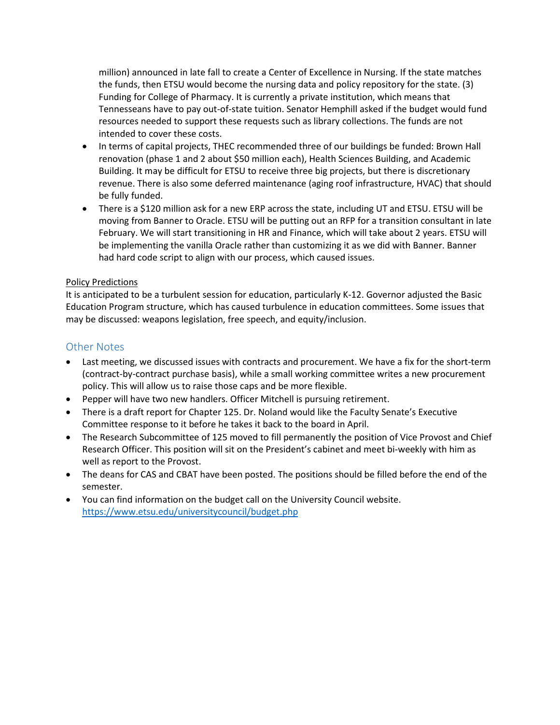million) announced in late fall to create a Center of Excellence in Nursing. If the state matches the funds, then ETSU would become the nursing data and policy repository for the state. (3) Funding for College of Pharmacy. It is currently a private institution, which means that Tennesseans have to pay out-of-state tuition. Senator Hemphill asked if the budget would fund resources needed to support these requests such as library collections. The funds are not intended to cover these costs.

- In terms of capital projects, THEC recommended three of our buildings be funded: Brown Hall renovation (phase 1 and 2 about \$50 million each), Health Sciences Building, and Academic Building. It may be difficult for ETSU to receive three big projects, but there is discretionary revenue. There is also some deferred maintenance (aging roof infrastructure, HVAC) that should be fully funded.
- There is a \$120 million ask for a new ERP across the state, including UT and ETSU. ETSU will be moving from Banner to Oracle. ETSU will be putting out an RFP for a transition consultant in late February. We will start transitioning in HR and Finance, which will take about 2 years. ETSU will be implementing the vanilla Oracle rather than customizing it as we did with Banner. Banner had hard code script to align with our process, which caused issues.

### Policy Predictions

It is anticipated to be a turbulent session for education, particularly K-12. Governor adjusted the Basic Education Program structure, which has caused turbulence in education committees. Some issues that may be discussed: weapons legislation, free speech, and equity/inclusion.

# Other Notes

- Last meeting, we discussed issues with contracts and procurement. We have a fix for the short-term (contract-by-contract purchase basis), while a small working committee writes a new procurement policy. This will allow us to raise those caps and be more flexible.
- Pepper will have two new handlers. Officer Mitchell is pursuing retirement.
- There is a draft report for Chapter 125. Dr. Noland would like the Faculty Senate's Executive Committee response to it before he takes it back to the board in April.
- The Research Subcommittee of 125 moved to fill permanently the position of Vice Provost and Chief Research Officer. This position will sit on the President's cabinet and meet bi-weekly with him as well as report to the Provost.
- The deans for CAS and CBAT have been posted. The positions should be filled before the end of the semester.
- You can find information on the budget call on the University Council website. <https://www.etsu.edu/universitycouncil/budget.php>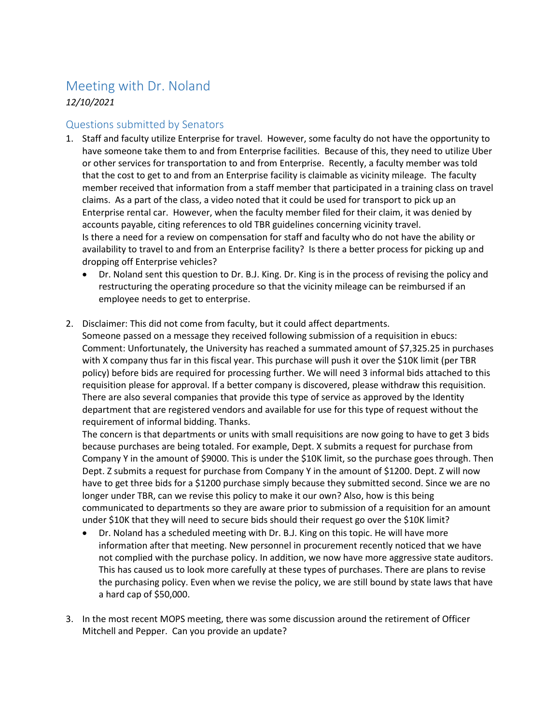# Meeting with Dr. Noland

*12/10/2021*

# Questions submitted by Senators

- 1. Staff and faculty utilize Enterprise for travel. However, some faculty do not have the opportunity to have someone take them to and from Enterprise facilities. Because of this, they need to utilize Uber or other services for transportation to and from Enterprise. Recently, a faculty member was told that the cost to get to and from an Enterprise facility is claimable as vicinity mileage. The faculty member received that information from a staff member that participated in a training class on travel claims. As a part of the class, a video noted that it could be used for transport to pick up an Enterprise rental car. However, when the faculty member filed for their claim, it was denied by accounts payable, citing references to old TBR guidelines concerning vicinity travel. Is there a need for a review on compensation for staff and faculty who do not have the ability or availability to travel to and from an Enterprise facility? Is there a better process for picking up and dropping off Enterprise vehicles?
	- Dr. Noland sent this question to Dr. B.J. King. Dr. King is in the process of revising the policy and restructuring the operating procedure so that the vicinity mileage can be reimbursed if an employee needs to get to enterprise.
- 2. Disclaimer: This did not come from faculty, but it could affect departments.

Someone passed on a message they received following submission of a requisition in ebucs: Comment: Unfortunately, the University has reached a summated amount of \$7,325.25 in purchases with X company thus far in this fiscal year. This purchase will push it over the \$10K limit (per TBR policy) before bids are required for processing further. We will need 3 informal bids attached to this requisition please for approval. If a better company is discovered, please withdraw this requisition. There are also several companies that provide this type of service as approved by the Identity department that are registered vendors and available for use for this type of request without the requirement of informal bidding. Thanks.

The concern is that departments or units with small requisitions are now going to have to get 3 bids because purchases are being totaled. For example, Dept. X submits a request for purchase from Company Y in the amount of \$9000. This is under the \$10K limit, so the purchase goes through. Then Dept. Z submits a request for purchase from Company Y in the amount of \$1200. Dept. Z will now have to get three bids for a \$1200 purchase simply because they submitted second. Since we are no longer under TBR, can we revise this policy to make it our own? Also, how is this being communicated to departments so they are aware prior to submission of a requisition for an amount under \$10K that they will need to secure bids should their request go over the \$10K limit?

- Dr. Noland has a scheduled meeting with Dr. B.J. King on this topic. He will have more information after that meeting. New personnel in procurement recently noticed that we have not complied with the purchase policy. In addition, we now have more aggressive state auditors. This has caused us to look more carefully at these types of purchases. There are plans to revise the purchasing policy. Even when we revise the policy, we are still bound by state laws that have a hard cap of \$50,000.
- 3. In the most recent MOPS meeting, there was some discussion around the retirement of Officer Mitchell and Pepper. Can you provide an update?